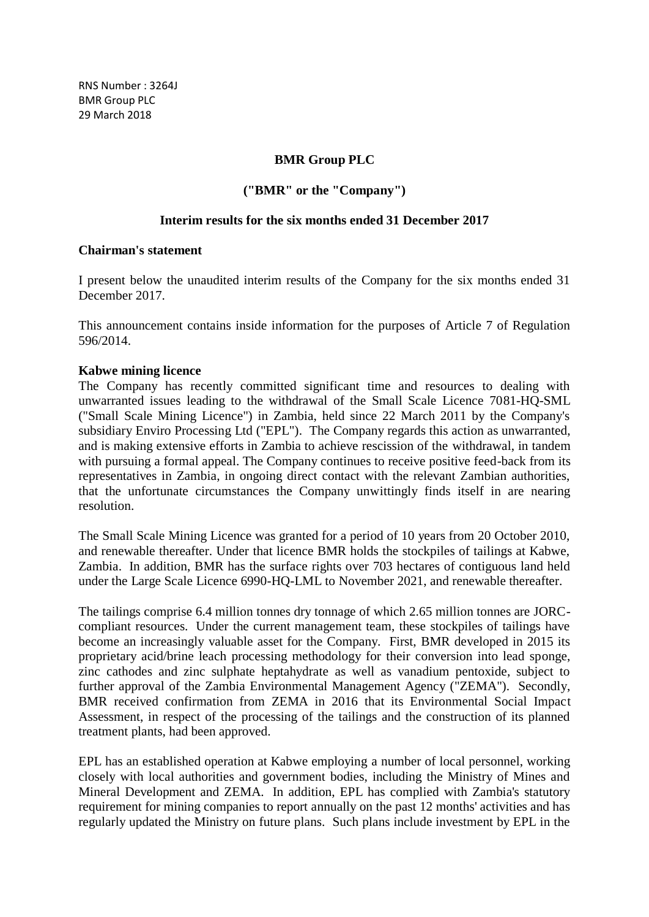RNS Number : 3264J BMR Group PLC 29 March 2018

## **BMR Group PLC**

# **("BMR" or the "Company")**

## **Interim results for the six months ended 31 December 2017**

#### **Chairman's statement**

I present below the unaudited interim results of the Company for the six months ended 31 December 2017.

This announcement contains inside information for the purposes of Article 7 of Regulation 596/2014.

## **Kabwe mining licence**

The Company has recently committed significant time and resources to dealing with unwarranted issues leading to the withdrawal of the Small Scale Licence 7081-HQ-SML ("Small Scale Mining Licence") in Zambia, held since 22 March 2011 by the Company's subsidiary Enviro Processing Ltd ("EPL"). The Company regards this action as unwarranted, and is making extensive efforts in Zambia to achieve rescission of the withdrawal, in tandem with pursuing a formal appeal. The Company continues to receive positive feed-back from its representatives in Zambia, in ongoing direct contact with the relevant Zambian authorities, that the unfortunate circumstances the Company unwittingly finds itself in are nearing resolution.

The Small Scale Mining Licence was granted for a period of 10 years from 20 October 2010, and renewable thereafter. Under that licence BMR holds the stockpiles of tailings at Kabwe, Zambia. In addition, BMR has the surface rights over 703 hectares of contiguous land held under the Large Scale Licence 6990-HQ-LML to November 2021, and renewable thereafter.

The tailings comprise 6.4 million tonnes dry tonnage of which 2.65 million tonnes are JORCcompliant resources. Under the current management team, these stockpiles of tailings have become an increasingly valuable asset for the Company. First, BMR developed in 2015 its proprietary acid/brine leach processing methodology for their conversion into lead sponge, zinc cathodes and zinc sulphate heptahydrate as well as vanadium pentoxide, subject to further approval of the Zambia Environmental Management Agency ("ZEMA"). Secondly, BMR received confirmation from ZEMA in 2016 that its Environmental Social Impact Assessment, in respect of the processing of the tailings and the construction of its planned treatment plants, had been approved.

EPL has an established operation at Kabwe employing a number of local personnel, working closely with local authorities and government bodies, including the Ministry of Mines and Mineral Development and ZEMA. In addition, EPL has complied with Zambia's statutory requirement for mining companies to report annually on the past 12 months' activities and has regularly updated the Ministry on future plans. Such plans include investment by EPL in the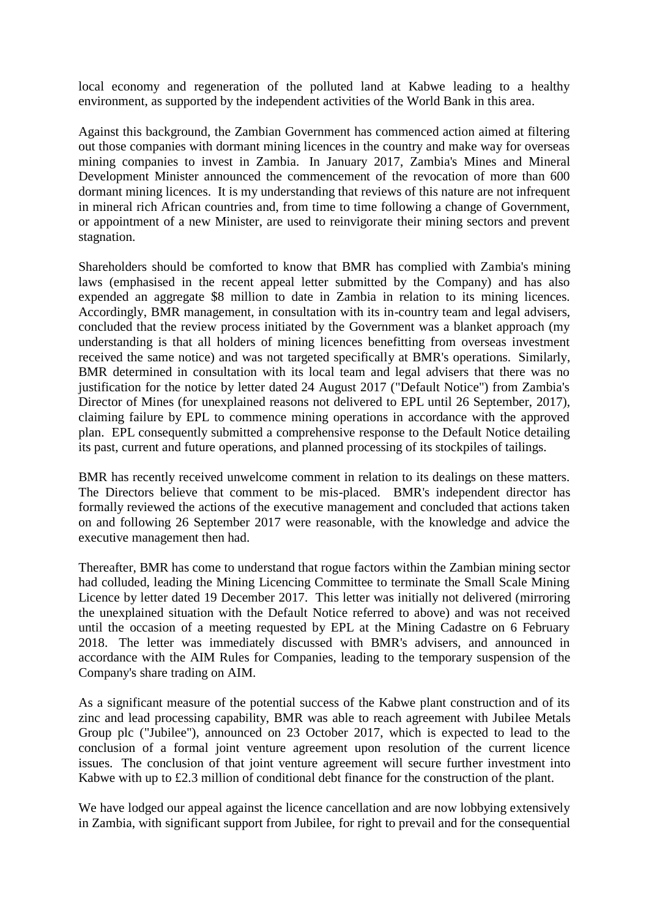local economy and regeneration of the polluted land at Kabwe leading to a healthy environment, as supported by the independent activities of the World Bank in this area.

Against this background, the Zambian Government has commenced action aimed at filtering out those companies with dormant mining licences in the country and make way for overseas mining companies to invest in Zambia. In January 2017, Zambia's Mines and Mineral Development Minister announced the commencement of the revocation of more than 600 dormant mining licences. It is my understanding that reviews of this nature are not infrequent in mineral rich African countries and, from time to time following a change of Government, or appointment of a new Minister, are used to reinvigorate their mining sectors and prevent stagnation.

Shareholders should be comforted to know that BMR has complied with Zambia's mining laws (emphasised in the recent appeal letter submitted by the Company) and has also expended an aggregate \$8 million to date in Zambia in relation to its mining licences. Accordingly, BMR management, in consultation with its in-country team and legal advisers, concluded that the review process initiated by the Government was a blanket approach (my understanding is that all holders of mining licences benefitting from overseas investment received the same notice) and was not targeted specifically at BMR's operations. Similarly, BMR determined in consultation with its local team and legal advisers that there was no justification for the notice by letter dated 24 August 2017 ("Default Notice") from Zambia's Director of Mines (for unexplained reasons not delivered to EPL until 26 September, 2017), claiming failure by EPL to commence mining operations in accordance with the approved plan. EPL consequently submitted a comprehensive response to the Default Notice detailing its past, current and future operations, and planned processing of its stockpiles of tailings.

BMR has recently received unwelcome comment in relation to its dealings on these matters. The Directors believe that comment to be mis-placed. BMR's independent director has formally reviewed the actions of the executive management and concluded that actions taken on and following 26 September 2017 were reasonable, with the knowledge and advice the executive management then had.

Thereafter, BMR has come to understand that rogue factors within the Zambian mining sector had colluded, leading the Mining Licencing Committee to terminate the Small Scale Mining Licence by letter dated 19 December 2017. This letter was initially not delivered (mirroring the unexplained situation with the Default Notice referred to above) and was not received until the occasion of a meeting requested by EPL at the Mining Cadastre on 6 February 2018. The letter was immediately discussed with BMR's advisers, and announced in accordance with the AIM Rules for Companies, leading to the temporary suspension of the Company's share trading on AIM.

As a significant measure of the potential success of the Kabwe plant construction and of its zinc and lead processing capability, BMR was able to reach agreement with Jubilee Metals Group plc ("Jubilee"), announced on 23 October 2017, which is expected to lead to the conclusion of a formal joint venture agreement upon resolution of the current licence issues. The conclusion of that joint venture agreement will secure further investment into Kabwe with up to £2.3 million of conditional debt finance for the construction of the plant.

We have lodged our appeal against the licence cancellation and are now lobbying extensively in Zambia, with significant support from Jubilee, for right to prevail and for the consequential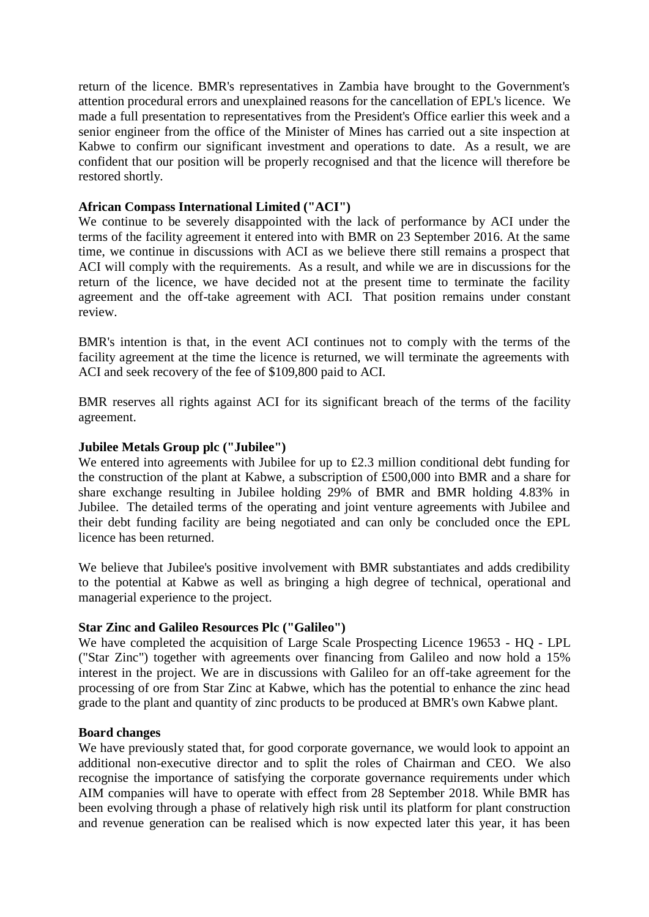return of the licence. BMR's representatives in Zambia have brought to the Government's attention procedural errors and unexplained reasons for the cancellation of EPL's licence. We made a full presentation to representatives from the President's Office earlier this week and a senior engineer from the office of the Minister of Mines has carried out a site inspection at Kabwe to confirm our significant investment and operations to date. As a result, we are confident that our position will be properly recognised and that the licence will therefore be restored shortly.

## **African Compass International Limited ("ACI")**

We continue to be severely disappointed with the lack of performance by ACI under the terms of the facility agreement it entered into with BMR on 23 September 2016. At the same time, we continue in discussions with ACI as we believe there still remains a prospect that ACI will comply with the requirements. As a result, and while we are in discussions for the return of the licence, we have decided not at the present time to terminate the facility agreement and the off-take agreement with ACI. That position remains under constant review.

BMR's intention is that, in the event ACI continues not to comply with the terms of the facility agreement at the time the licence is returned, we will terminate the agreements with ACI and seek recovery of the fee of \$109,800 paid to ACI.

BMR reserves all rights against ACI for its significant breach of the terms of the facility agreement.

## **Jubilee Metals Group plc ("Jubilee")**

We entered into agreements with Jubilee for up to £2.3 million conditional debt funding for the construction of the plant at Kabwe, a subscription of £500,000 into BMR and a share for share exchange resulting in Jubilee holding 29% of BMR and BMR holding 4.83% in Jubilee. The detailed terms of the operating and joint venture agreements with Jubilee and their debt funding facility are being negotiated and can only be concluded once the EPL licence has been returned.

We believe that Jubilee's positive involvement with BMR substantiates and adds credibility to the potential at Kabwe as well as bringing a high degree of technical, operational and managerial experience to the project.

## **Star Zinc and Galileo Resources Plc ("Galileo")**

We have completed the acquisition of Large Scale Prospecting Licence 19653 - HQ - LPL ("Star Zinc") together with agreements over financing from Galileo and now hold a 15% interest in the project. We are in discussions with Galileo for an off-take agreement for the processing of ore from Star Zinc at Kabwe, which has the potential to enhance the zinc head grade to the plant and quantity of zinc products to be produced at BMR's own Kabwe plant.

#### **Board changes**

We have previously stated that, for good corporate governance, we would look to appoint an additional non-executive director and to split the roles of Chairman and CEO. We also recognise the importance of satisfying the corporate governance requirements under which AIM companies will have to operate with effect from 28 September 2018. While BMR has been evolving through a phase of relatively high risk until its platform for plant construction and revenue generation can be realised which is now expected later this year, it has been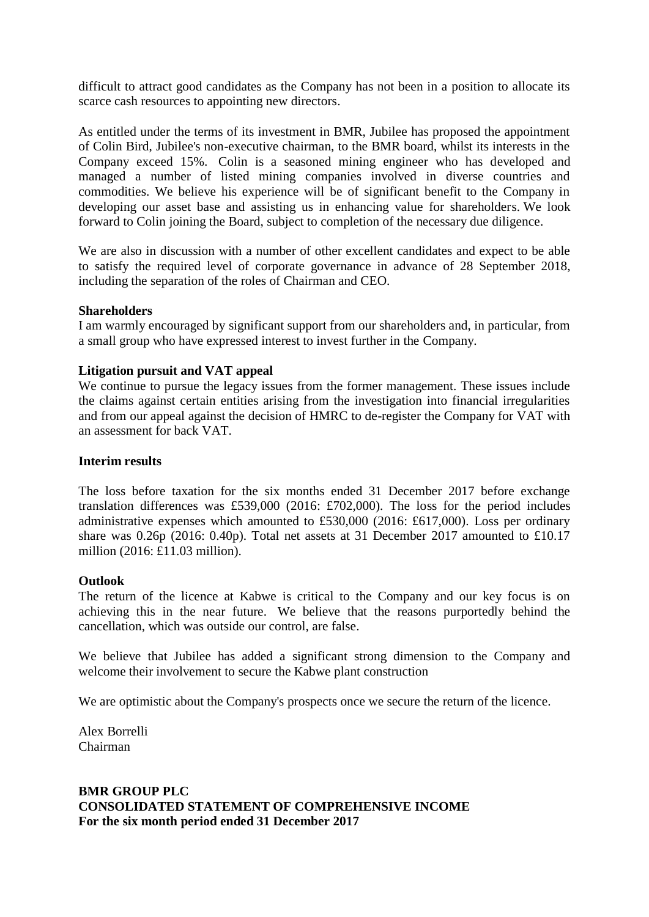difficult to attract good candidates as the Company has not been in a position to allocate its scarce cash resources to appointing new directors.

As entitled under the terms of its investment in BMR, Jubilee has proposed the appointment of Colin Bird, Jubilee's non-executive chairman, to the BMR board, whilst its interests in the Company exceed 15%. Colin is a seasoned mining engineer who has developed and managed a number of listed mining companies involved in diverse countries and commodities. We believe his experience will be of significant benefit to the Company in developing our asset base and assisting us in enhancing value for shareholders. We look forward to Colin joining the Board, subject to completion of the necessary due diligence.

We are also in discussion with a number of other excellent candidates and expect to be able to satisfy the required level of corporate governance in advance of 28 September 2018, including the separation of the roles of Chairman and CEO.

## **Shareholders**

I am warmly encouraged by significant support from our shareholders and, in particular, from a small group who have expressed interest to invest further in the Company.

## **Litigation pursuit and VAT appeal**

We continue to pursue the legacy issues from the former management. These issues include the claims against certain entities arising from the investigation into financial irregularities and from our appeal against the decision of HMRC to de-register the Company for VAT with an assessment for back VAT.

## **Interim results**

The loss before taxation for the six months ended 31 December 2017 before exchange translation differences was £539,000 (2016: £702,000). The loss for the period includes administrative expenses which amounted to £530,000 (2016: £617,000). Loss per ordinary share was 0.26p (2016: 0.40p). Total net assets at 31 December 2017 amounted to £10.17 million (2016: £11.03 million).

#### **Outlook**

The return of the licence at Kabwe is critical to the Company and our key focus is on achieving this in the near future. We believe that the reasons purportedly behind the cancellation, which was outside our control, are false.

We believe that Jubilee has added a significant strong dimension to the Company and welcome their involvement to secure the Kabwe plant construction

We are optimistic about the Company's prospects once we secure the return of the licence.

Alex Borrelli Chairman

# **BMR GROUP PLC CONSOLIDATED STATEMENT OF COMPREHENSIVE INCOME For the six month period ended 31 December 2017**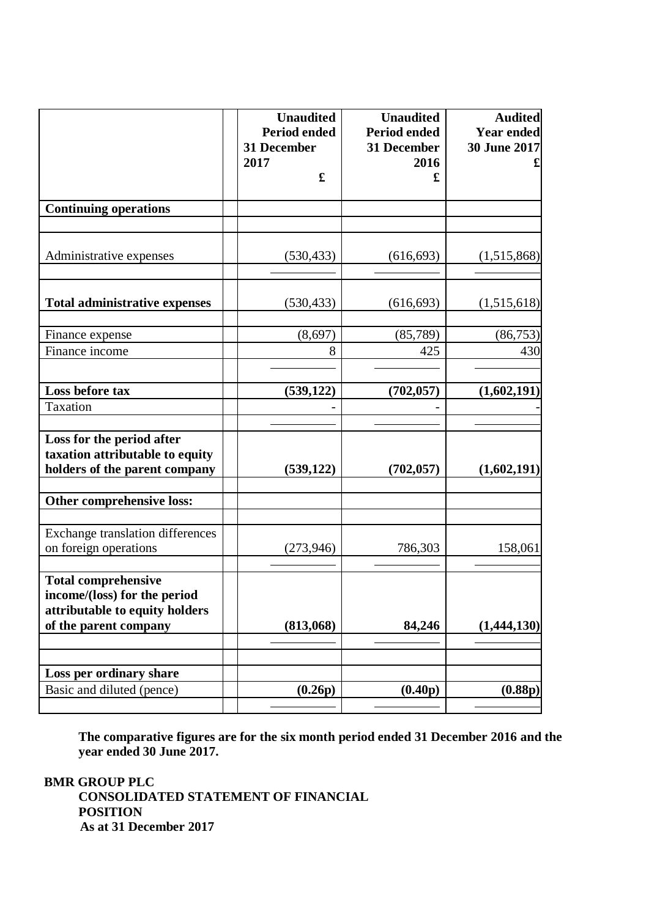|                                                         | <b>Unaudited</b><br><b>Period ended</b> | <b>Unaudited</b><br><b>Period ended</b> | <b>Audited</b><br><b>Year ended</b> |
|---------------------------------------------------------|-----------------------------------------|-----------------------------------------|-------------------------------------|
|                                                         | 31 December<br>2017                     | 31 December<br>2016                     | 30 June 2017                        |
|                                                         | $\mathbf f$                             | £                                       |                                     |
| <b>Continuing operations</b>                            |                                         |                                         |                                     |
|                                                         |                                         |                                         |                                     |
| Administrative expenses                                 | (530, 433)                              | (616, 693)                              | (1,515,868)                         |
|                                                         |                                         |                                         |                                     |
| <b>Total administrative expenses</b>                    | (530, 433)                              | (616, 693)                              | (1,515,618)                         |
| Finance expense                                         | (8,697)                                 | (85,789)                                | (86, 753)                           |
| Finance income                                          | 8                                       | 425                                     | 430                                 |
|                                                         |                                         |                                         |                                     |
| Loss before tax                                         | (539, 122)                              | (702, 057)                              | (1,602,191)                         |
| Taxation                                                |                                         |                                         |                                     |
| Loss for the period after                               |                                         |                                         |                                     |
| taxation attributable to equity                         |                                         |                                         |                                     |
| holders of the parent company                           | (539, 122)                              | (702, 057)                              | (1,602,191)                         |
| Other comprehensive loss:                               |                                         |                                         |                                     |
|                                                         |                                         |                                         |                                     |
| <b>Exchange translation differences</b>                 |                                         |                                         |                                     |
| on foreign operations                                   | (273, 946)                              | 786,303                                 | 158,061                             |
| <b>Total comprehensive</b>                              |                                         |                                         |                                     |
| income/(loss) for the period                            |                                         |                                         |                                     |
| attributable to equity holders<br>of the parent company | (813,068)                               | 84,246                                  | (1,444,130)                         |
|                                                         |                                         |                                         |                                     |
|                                                         |                                         |                                         |                                     |
| Loss per ordinary share                                 |                                         |                                         |                                     |
| Basic and diluted (pence)                               | (0.26p)                                 | (0.40p)                                 | (0.88p)                             |

**The comparative figures are for the six month period ended 31 December 2016 and the year ended 30 June 2017.**

**BMR GROUP PLC CONSOLIDATED STATEMENT OF FINANCIAL POSITION As at 31 December 2017**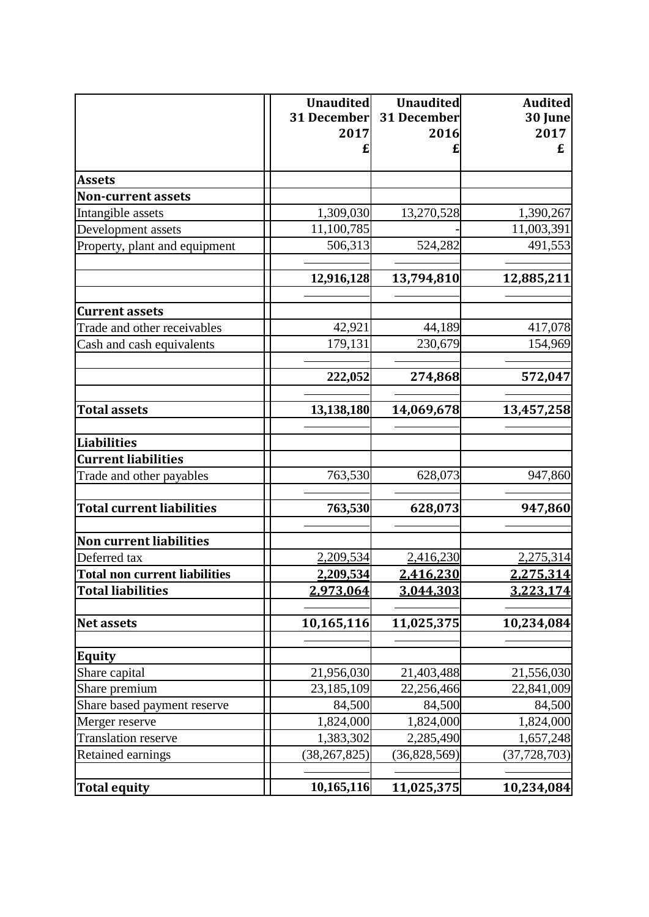|                                      | <b>Unaudited</b><br><b>31 December</b><br>2017 | <b>Unaudited</b><br>31 December<br>2016 | <b>Audited</b><br>30 June<br>2017<br>£ |
|--------------------------------------|------------------------------------------------|-----------------------------------------|----------------------------------------|
| <b>Assets</b>                        |                                                |                                         |                                        |
| <b>Non-current assets</b>            |                                                |                                         |                                        |
| Intangible assets                    | 1,309,030                                      | 13,270,528                              | 1,390,267                              |
| Development assets                   | 11,100,785                                     |                                         | 11,003,391                             |
| Property, plant and equipment        | 506,313                                        | 524,282                                 | 491,553                                |
|                                      | 12,916,128                                     | 13,794,810                              | 12,885,211                             |
| <b>Current assets</b>                |                                                |                                         |                                        |
| Trade and other receivables          | 42,921                                         | 44,189                                  | 417,078                                |
| Cash and cash equivalents            | 179,131                                        | 230,679                                 | 154,969                                |
|                                      | 222,052                                        | 274,868                                 | 572,047                                |
| <b>Total assets</b>                  | 13,138,180                                     | 14,069,678                              | 13,457,258                             |
| <b>Liabilities</b>                   |                                                |                                         |                                        |
| <b>Current liabilities</b>           |                                                |                                         |                                        |
| Trade and other payables             | 763,530                                        | 628,073                                 | 947,860                                |
| <b>Total current liabilities</b>     | 763,530                                        | 628,073                                 | 947,860                                |
| <b>Non current liabilities</b>       |                                                |                                         |                                        |
| Deferred tax                         | 2,209,534                                      | 2,416,230                               | 2,275,314                              |
| <b>Total non current liabilities</b> | 2,209,534                                      | 2,416,230                               | 2,275,314                              |
| <b>Total liabilities</b>             | 2,973,064                                      | 3,044,303                               | 3,223,174                              |
| <b>Net assets</b>                    | 10,165,116                                     | 11,025,375                              | 10,234,084                             |
| <b>Equity</b>                        |                                                |                                         |                                        |
| Share capital                        | 21,956,030                                     | 21,403,488                              | 21,556,030                             |
| Share premium                        | 23,185,109                                     | 22,256,466                              | 22,841,009                             |
| Share based payment reserve          | 84,500                                         | 84,500                                  | 84,500                                 |
| Merger reserve                       | 1,824,000                                      | 1,824,000                               | 1,824,000                              |
| <b>Translation reserve</b>           | 1,383,302                                      | 2,285,490                               | 1,657,248                              |
| Retained earnings                    | (38, 267, 825)                                 | (36,828,569)                            | (37, 728, 703)                         |
| <b>Total equity</b>                  | 10,165,116                                     | 11,025,375                              | 10,234,084                             |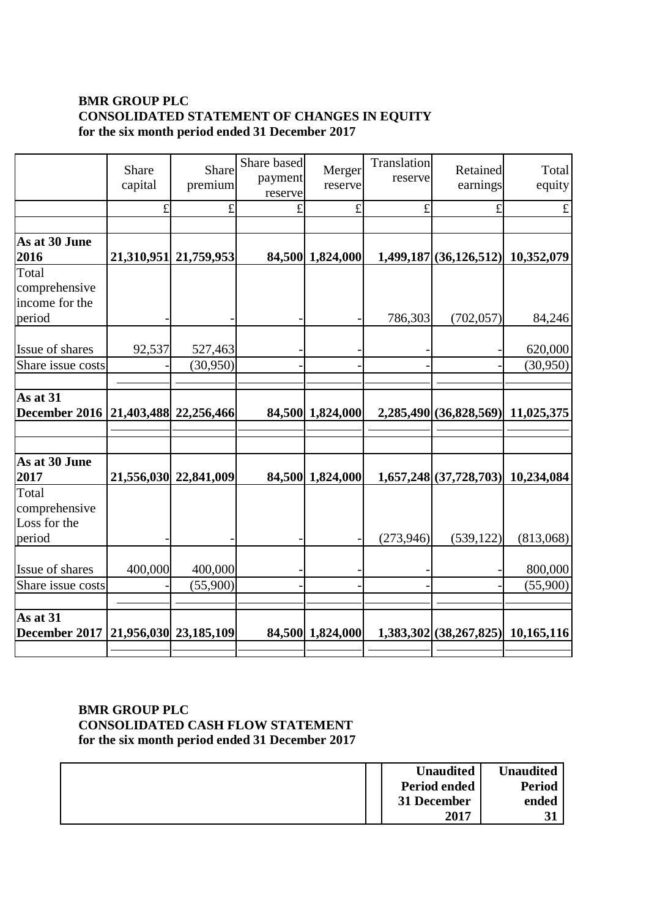# **BMR GROUP PLC CONSOLIDATED STATEMENT OF CHANGES IN EQUITY for the six month period ended 31 December 2017**

|                                                     | Share<br>capital | Share<br>premium      | Share based<br>payment<br>reserve | Merger<br>reserve | Translation<br>reserve | Retained<br>earnings               | Total<br>equity |
|-----------------------------------------------------|------------------|-----------------------|-----------------------------------|-------------------|------------------------|------------------------------------|-----------------|
|                                                     | £                | £                     |                                   | £                 | £                      | £                                  | £               |
|                                                     |                  |                       |                                   |                   |                        |                                    |                 |
| As at 30 June<br>2016                               |                  | 21,310,951 21,759,953 |                                   | 84,500 1,824,000  |                        | 1,499,187 (36,126,512) 10,352,079  |                 |
| Total<br>comprehensive<br>income for the            |                  |                       |                                   |                   |                        |                                    |                 |
| period                                              |                  |                       |                                   |                   | 786,303                | (702, 057)                         | 84,246          |
| Issue of shares                                     | 92,537           | 527,463               |                                   |                   |                        |                                    | 620,000         |
| Share issue costs                                   |                  | (30, 950)             |                                   |                   |                        |                                    | (30,950)        |
|                                                     |                  |                       |                                   |                   |                        |                                    |                 |
| As at 31                                            |                  |                       |                                   |                   |                        |                                    |                 |
| December 2016   21,403,488   22,256,466             |                  |                       |                                   | 84,500 1,824,000  |                        | 2,285,490 (36,828,569) 11,025,375  |                 |
|                                                     |                  |                       |                                   |                   |                        |                                    |                 |
| As at 30 June<br>2017                               |                  | 21,556,030 22,841,009 |                                   | 84,500 1,824,000  |                        | 1,657,248 (37,728,703) 10,234,084  |                 |
| Total<br>comprehensive<br>Loss for the<br>period    |                  |                       |                                   |                   | (273,946)              | (539, 122)                         | (813,068)       |
| Issue of shares                                     | 400,000          | 400,000               |                                   |                   |                        |                                    | 800,000         |
| Share issue costs                                   |                  | (55,900)              |                                   |                   |                        |                                    | (55,900)        |
| As at 31<br>December 2017   21,956,030   23,185,109 |                  |                       |                                   | 84,500 1,824,000  |                        | $1,383,302(38,267,825)$ 10,165,116 |                 |
|                                                     |                  |                       |                                   |                   |                        |                                    |                 |

# **BMR GROUP PLC CONSOLIDATED CASH FLOW STATEMENT for the six month period ended 31 December 2017**

|  | <b>Unaudited</b>    | <b>Unaudited</b> |
|--|---------------------|------------------|
|  | <b>Period ended</b> | <b>Period</b>    |
|  | 31 December         | ended            |
|  | 2017                |                  |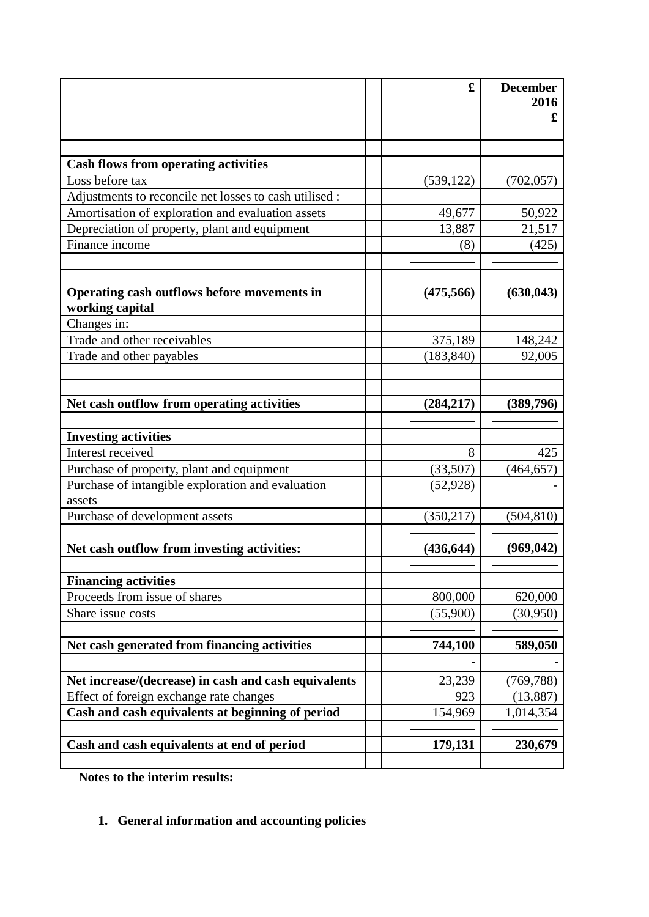|                                                                | £          | <b>December</b><br>2016 |
|----------------------------------------------------------------|------------|-------------------------|
|                                                                |            | £                       |
|                                                                |            |                         |
| <b>Cash flows from operating activities</b>                    |            |                         |
| Loss before tax                                                | (539, 122) | (702, 057)              |
| Adjustments to reconcile net losses to cash utilised :         |            |                         |
| Amortisation of exploration and evaluation assets              | 49,677     | 50,922                  |
| Depreciation of property, plant and equipment                  | 13,887     | 21,517                  |
| Finance income                                                 | (8)        | (425)                   |
| Operating cash outflows before movements in<br>working capital | (475, 566) | (630, 043)              |
| Changes in:                                                    |            |                         |
| Trade and other receivables                                    | 375,189    | 148,242                 |
| Trade and other payables                                       | (183, 840) | 92,005                  |
|                                                                |            |                         |
| Net cash outflow from operating activities                     | (284, 217) | (389,796)               |
|                                                                |            |                         |
| <b>Investing activities</b>                                    |            |                         |
| Interest received                                              | 8          | 425                     |
| Purchase of property, plant and equipment                      | (33,507)   | (464, 657)              |
| Purchase of intangible exploration and evaluation<br>assets    | (52, 928)  |                         |
| Purchase of development assets                                 | (350, 217) | (504, 810)              |
| Net cash outflow from investing activities:                    | (436, 644) | (969, 042)              |
|                                                                |            |                         |
| <b>Financing activities</b>                                    |            |                         |
| Proceeds from issue of shares                                  | 800,000    | 620,000                 |
| Share issue costs                                              | (55,900)   | (30, 950)               |
| Net cash generated from financing activities                   | 744,100    | 589,050                 |
|                                                                |            |                         |
| Net increase/(decrease) in cash and cash equivalents           | 23,239     | (769, 788)              |
| Effect of foreign exchange rate changes                        | 923        | (13,887)                |
| Cash and cash equivalents at beginning of period               | 154,969    | 1,014,354               |
|                                                                |            |                         |
| Cash and cash equivalents at end of period                     | 179,131    | 230,679                 |
|                                                                |            |                         |

**Notes to the interim results:**

# **1. General information and accounting policies**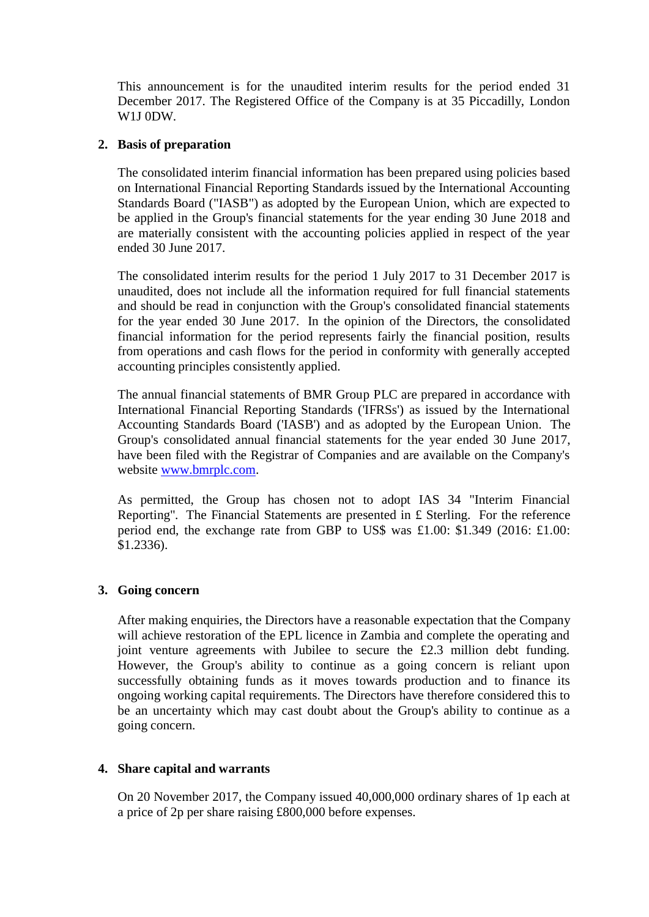This announcement is for the unaudited interim results for the period ended 31 December 2017. The Registered Office of the Company is at 35 Piccadilly, London W1J 0DW.

# **2. Basis of preparation**

The consolidated interim financial information has been prepared using policies based on International Financial Reporting Standards issued by the International Accounting Standards Board ("IASB") as adopted by the European Union, which are expected to be applied in the Group's financial statements for the year ending 30 June 2018 and are materially consistent with the accounting policies applied in respect of the year ended 30 June 2017.

The consolidated interim results for the period 1 July 2017 to 31 December 2017 is unaudited, does not include all the information required for full financial statements and should be read in conjunction with the Group's consolidated financial statements for the year ended 30 June 2017. In the opinion of the Directors, the consolidated financial information for the period represents fairly the financial position, results from operations and cash flows for the period in conformity with generally accepted accounting principles consistently applied.

The annual financial statements of BMR Group PLC are prepared in accordance with International Financial Reporting Standards ('IFRSs') as issued by the International Accounting Standards Board ('IASB') and as adopted by the European Union. The Group's consolidated annual financial statements for the year ended 30 June 2017, have been filed with the Registrar of Companies and are available on the Company's website [www.bmrplc.com.](http://www.bmrplc.com/)

As permitted, the Group has chosen not to adopt IAS 34 "Interim Financial Reporting". The Financial Statements are presented in £ Sterling. For the reference period end, the exchange rate from GBP to US\$ was £1.00: \$1.349 (2016: £1.00: \$1.2336).

# **3. Going concern**

After making enquiries, the Directors have a reasonable expectation that the Company will achieve restoration of the EPL licence in Zambia and complete the operating and joint venture agreements with Jubilee to secure the £2.3 million debt funding. However, the Group's ability to continue as a going concern is reliant upon successfully obtaining funds as it moves towards production and to finance its ongoing working capital requirements. The Directors have therefore considered this to be an uncertainty which may cast doubt about the Group's ability to continue as a going concern.

## **4. Share capital and warrants**

On 20 November 2017, the Company issued 40,000,000 ordinary shares of 1p each at a price of 2p per share raising £800,000 before expenses.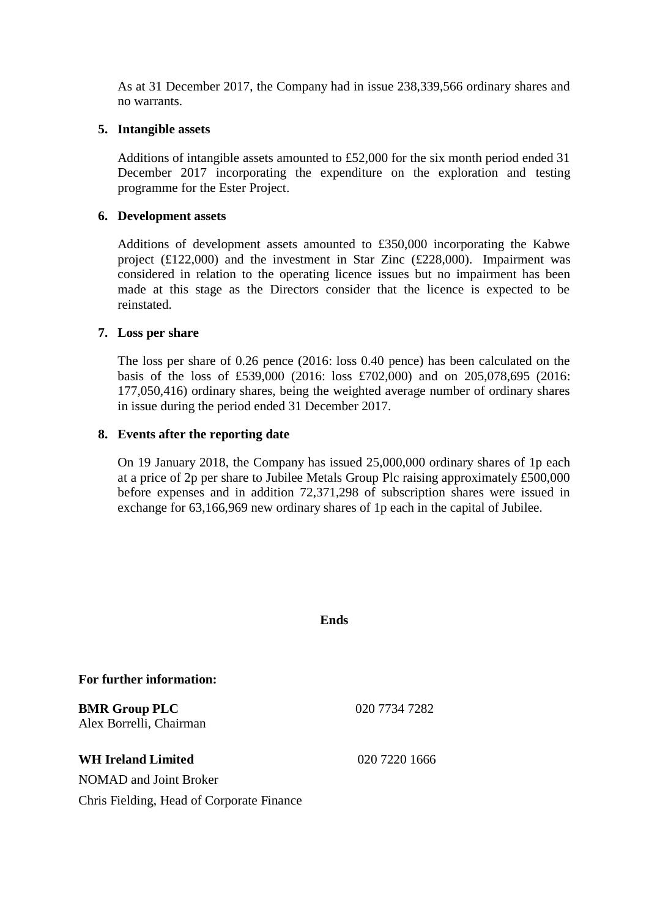As at 31 December 2017, the Company had in issue 238,339,566 ordinary shares and no warrants.

## **5. Intangible assets**

Additions of intangible assets amounted to £52,000 for the six month period ended 31 December 2017 incorporating the expenditure on the exploration and testing programme for the Ester Project.

## **6. Development assets**

Additions of development assets amounted to £350,000 incorporating the Kabwe project (£122,000) and the investment in Star Zinc (£228,000). Impairment was considered in relation to the operating licence issues but no impairment has been made at this stage as the Directors consider that the licence is expected to be reinstated.

## **7. Loss per share**

The loss per share of 0.26 pence (2016: loss 0.40 pence) has been calculated on the basis of the loss of £539,000 (2016: loss £702,000) and on 205,078,695 (2016: 177,050,416) ordinary shares, being the weighted average number of ordinary shares in issue during the period ended 31 December 2017.

## **8. Events after the reporting date**

On 19 January 2018, the Company has issued 25,000,000 ordinary shares of 1p each at a price of 2p per share to Jubilee Metals Group Plc raising approximately £500,000 before expenses and in addition 72,371,298 of subscription shares were issued in exchange for 63,166,969 new ordinary shares of 1p each in the capital of Jubilee.

|                                                 | <b>Ends</b>   |
|-------------------------------------------------|---------------|
| For further information:                        |               |
| <b>BMR Group PLC</b><br>Alex Borrelli, Chairman | 020 7734 7282 |
| <b>WH Ireland Limited</b>                       | 020 7220 1666 |
| NOMAD and Joint Broker                          |               |
| Chris Fielding, Head of Corporate Finance       |               |